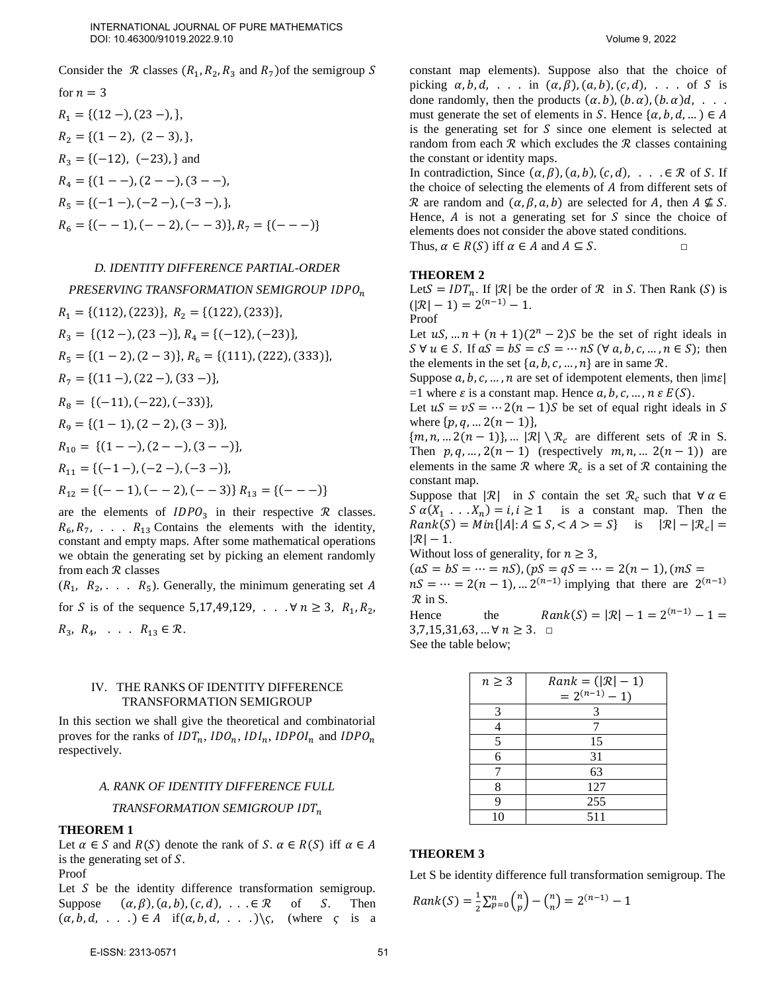Consider the  $\mathcal R$  classes  $(R_1, R_2, R_3 \text{ and } R_7)$  of the semigroup S

for 
$$
n = 3
$$
  
\n $R_1 = \{(12 -),(23 -),\},$   
\n $R_2 = \{(1 - 2), (2 - 3),\},$   
\n $R_3 = \{(-12), (-23),\}$  and  
\n $R_4 = \{(1 - -), (2 - -), (3 - -),$   
\n $R_5 = \{(-1 -), (-2 -), (-3 -),\},$   
\n $R_6 = \{(- - 1), (- - 2), (- - 3)\}, R_7 = \{(- - -)\}$ 

#### *D. IDENTITY DIFFERENCE PARTIAL-ORDER*

*PRESERVING TRANSFORMATION SEMIGROUP*   $R_1 = \{(112), (223)\}, R_2 = \{(122), (233)\},$  $R_3 = \{(12 -),(23 -)\}, R_4 = \{(-12),(-23)\},\$  $R_5 = \{(1-2), (2-3)\}, R_6 = \{(111), (222), (333)\},$  $R_7 = \{(11 - )$ ,  $(22 - )$ ,  $(33 - )\}$ ,  $R_8 = \{(-11), (-22), (-33)\},\$  $R<sub>9</sub> = \{(1-1), (2-2), (3-3)\},\$  $R_{10} = \{(1 - -), (2 - -), (3 - -)\},\$  $R_{11} = \{(-1 -), (-2 -), (-3 -)\},\$  $R_{12} = {(- - 1), (- - 2), (- - 3)} R_{13} = {(- - -)}$ 

are the elements of  $IDPO<sub>3</sub>$  in their respective  $R$  classes.  $R_6, R_7, \ldots, R_{13}$  Contains the elements with the identity, constant and empty maps. After some mathematical operations we obtain the generating set by picking an element randomly from each  $R$  classes

 $(R_1, R_2, \ldots, R_5)$ . Generally, the minimum generating set A for *S* is of the sequence 5,17,49,129, . . .  $\forall n \ge 3$ ,  $R_1, R_2$ ,  $R_3, R_4, \ldots, R_{13} \in \mathcal{R}.$ 

### IV. THE RANKS OF IDENTITY DIFFERENCE TRANSFORMATION SEMIGROUP

In this section we shall give the theoretical and combinatorial proves for the ranks of  $IDT_n$ ,  $IDO_n$ ,  $IDI_n$ ,  $IDPOI_n$  and  $IDPO_n$ respectively.

### *A. RANK OF IDENTITY DIFFERENCE FULL*

*TRANSFORMATION SEMIGROUP* 

### **THEOREM 1**

Let  $\alpha \in S$  and  $R(S)$  denote the rank of S.  $\alpha \in R(S)$  iff  $\alpha \in A$ is the generating set of  $S$ . Proof

Let  $S$  be the identity difference transformation semigroup. Suppose  $(\alpha, \beta), (\alpha, b), (c, d), \ldots \in \mathbb{R}$  of S. Then  $(\alpha, b, d, \ldots) \in A$  if $(\alpha, b, d, \ldots) \setminus \mathcal{S}$ , (where  $\mathcal{S}$  is a constant map elements). Suppose also that the choice of picking  $\alpha, b, d, \ldots$  in  $(\alpha, \beta), (\alpha, b), (c, d), \ldots$  of S is done randomly, then the products  $(\alpha, b)$ ,  $(b, \alpha)$ ,  $(d, \alpha)$ , ... must generate the set of elements in S. Hence  $\{\alpha, b, d, ...\} \in A$ is the generating set for  $S$  since one element is selected at random from each  $R$  which excludes the  $R$  classes containing the constant or identity maps.

In contradiction, Since  $(\alpha, \beta)$ ,  $(a, b)$ ,  $(c, d)$ , . . .  $\in \mathbb{R}$  of S. If the choice of selecting the elements of A from different sets of R are random and  $(\alpha, \beta, a, b)$  are selected for A, then  $A \not\subseteq S$ . Hence,  $\vec{A}$  is not a generating set for  $\vec{S}$  since the choice of elements does not consider the above stated conditions. Thus,  $\alpha \in R(S)$  iff  $\alpha \in A$  and  $A \subseteq S$ .

### **THEOREM 2**

Let  $S = IDT_n$ . If  $|\mathcal{R}|$  be the order of  $\mathcal{R}$  in S. Then Rank (S) is  $(|\mathcal{R}| - 1) = 2^{(n-1)} - 1.$ 

Proof

Let  $uS, ... n + (n + 1)(2^n - 2)S$  be the set of right ideals in  $S \forall u \in S$ . If  $aS = bS = cS = \cdots nS$  ( $\forall a, b, c, \dots, n \in S$ ); then the elements in the set  $\{a, b, c, ..., n\}$  are in same  $\mathcal{R}$ .

Suppose  $a, b, c, ..., n$  are set of idempotent elements, then  $|im\varepsilon|$ =1 where  $\varepsilon$  is a constant map. Hence  $a, b, c, ..., n \varepsilon E(S)$ .

Let  $uS = vS = \dots 2(n-1)S$  be set of equal right ideals in S where  $\{p, q, ... 2(n - 1)\},\$ 

 $\{m, n, \ldots 2(n-1)\}, \ldots |\mathcal{R}| \setminus \mathcal{R}_c$  are different sets of  $\mathcal{R}$  in S. Then  $p, q, ..., 2(n - 1)$  (respectively  $m, n, ... 2(n - 1)$ ) are elements in the same  $\mathcal{R}$  where  $\mathcal{R}_c$  is a set of  $\mathcal R$  containing the constant map.

Suppose that  $|\mathcal{R}|$  in S contain the set  $\mathcal{R}_c$  such that  $\forall \alpha \in \mathcal{R}_c$  $S \alpha(X_1 \dots X_n) = i, i \ge 1$  is a constant map. Then the  $Rank(S) = Min\{|A|: A \subseteq S, =S\}$  is  $|\mathcal{R}| - |\mathcal{R}_c| =$  $|\mathcal{R}| - 1$ .

Without loss of generality, for  $n \geq 3$ ,

 $(aS = bS = \cdots = nS), (pS = qS = \cdots = 2(n-1), (mS =$  $nS = \dots = 2(n-1), \dots 2^{(n-1)}$  implying that there are  $2^{(n-1)}$  $\mathcal{R}$  in S.

Hence the  $Rank(S) = |\mathcal{R}| - 1 = 2^{(n-1)} - 1 =$  $3,7,15,31,63, ... \forall n \geq 3. \square$ See the table below;

| $n \geq 3$ | $Rank = ( \mathcal{R} -1)$ |
|------------|----------------------------|
|            | $=2^{(n-1)}-1$             |
| 3          | 3                          |
|            |                            |
| 5          | 15                         |
| б          | 31                         |
|            | 63                         |
| 8          | 127                        |
| q          | 255                        |
| 10         | 511                        |

### **THEOREM 3**

Let S be identity difference full transformation semigroup. The

 $Rank(S) = \frac{1}{s}$  $\frac{1}{2}\sum_{p=0}^{n}$   $\binom{n}{p}$  $\binom{n}{p} - \binom{n}{n} = 2^{(n-1)} - 1$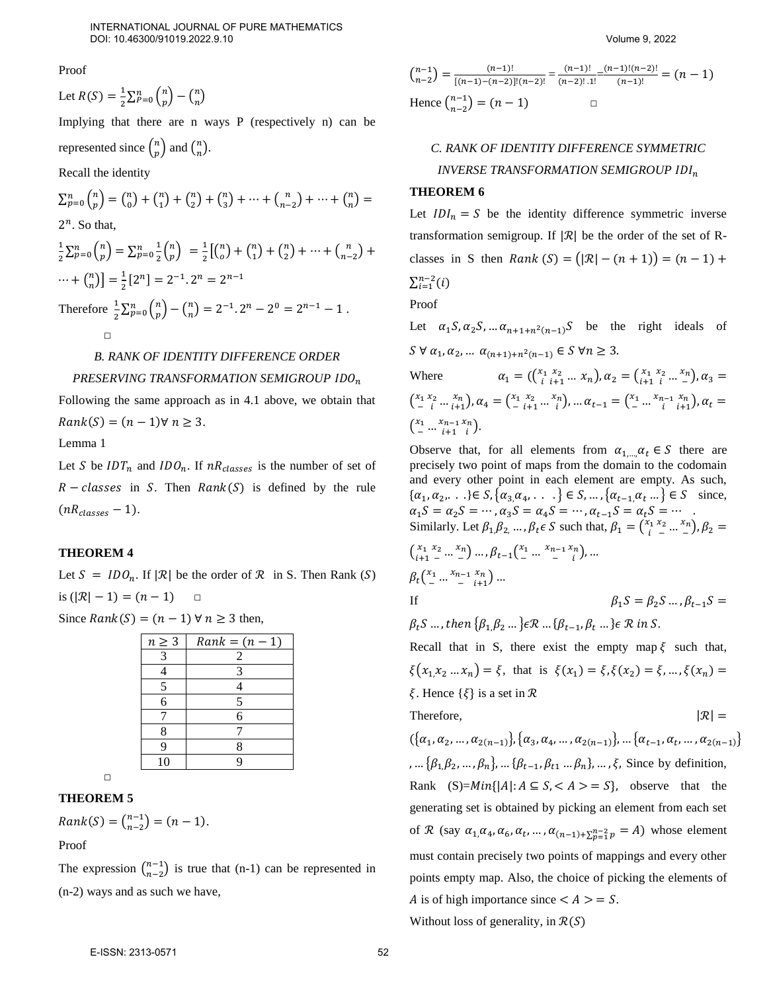Proof

Let 
$$
R(S) = \frac{1}{2} \sum_{P=0}^{n} {n \choose p} - {n \choose n}
$$

Implying that there are n ways P (respectively n) can be

represented since  $\binom{n}{n}$  ${n \choose p}$  and  ${n \choose n}$  $\binom{n}{n}$ .

Recall the identity

$$
\sum_{p=0}^{n} {n \choose p} = {n \choose 0} + {n \choose 1} + {n \choose 2} + {n \choose 3} + \dots + {n \choose n-2} + \dots + {n \choose n} =
$$
  
\n2<sup>n</sup>. So that,  
\n
$$
\frac{1}{2} \sum_{p=0}^{n} {n \choose p} = \sum_{p=0}^{n} \frac{1}{2} {n \choose p} = \frac{1}{2} \left[ {n \choose 0} + {n \choose 1} + {n \choose 2} + \dots + {n \choose n-2} + \dots + {n \choose n} \right] = \frac{1}{2} [2^n] = 2^{-1} \cdot 2^n = 2^{n-1}
$$
  
\nTherefore  $\frac{1}{2} \sum_{p=0}^{n} {n \choose p} - {n \choose n} = 2^{-1} \cdot 2^n - 2^0 = 2^{n-1} - 1$ .  
\nD  
\nB. RANK OF IDENTITY DIFFERENCE ORDER

# *PRESERVING TRANSFORMATION SEMIGROUP*

Following the same approach as in 4.1 above, we obtain that  $Rank(S) = (n-1)\forall n \geq 3.$ 

Lemma 1

Let S be  $IDT_n$  and  $IDO_n$ . If  $nR_{classes}$  is the number of set of  $R - classes$  in S. Then  $Rank(S)$  is defined by the rule  $(nR<sub>classes</sub> - 1).$ 

### **THEOREM 4**

Let  $S = IDO_n$ . If  $|\mathcal{R}|$  be the order of  $\mathcal{R}$  in S. Then Rank  $(S)$ is  $(|\mathcal{R}| - 1) = (n - 1)$  □

| Since $Rank(S) = (n - 1) \forall n \ge 3$ then, |  |  |
|-------------------------------------------------|--|--|
|-------------------------------------------------|--|--|

| $n \geq 3$ | $Rank = (n-1)$ |
|------------|----------------|
| 3          | 2              |
|            | 3              |
| 5          |                |
| 6          | 5              |
|            | 6              |
| 8          |                |
| q          | 8              |
| 10         |                |

□

### **THEOREM 5**

 $Rank(S) = {n-1 \choose n-2} = (n-1).$ 

Proof

The expression  $\binom{n-1}{n-2}$  is true that (n-1) can be represented in (n-2) ways and as such we have,

$$
\binom{n-1}{n-2} = \frac{(n-1)!}{[(n-1)-(n-2)]!(n-2)!} = \frac{(n-1)!}{(n-2)! \cdot 1!} = \frac{(n-1)!(n-2)!}{(n-1)!} = (n-1)
$$
  
Hence 
$$
\binom{n-1}{n-2} = (n-1) \qquad \Box
$$

# *C. RANK OF IDENTITY DIFFERENCE SYMMETRIC INVERSE TRANSFORMATION SEMIGROUP*

### **THEOREM 6**

Let  $IDI_n = S$  be the identity difference symmetric inverse transformation semigroup. If  $|\mathcal{R}|$  be the order of the set of Rclasses in S then  $Rank(S) = (|\mathcal{R}| - (n + 1)) = (n - 1) +$ 

 $\sum_{i=1}^{n-2}(i)$ 

Proof

Let  $\alpha_1 S, \alpha_2 S, \dots \alpha_{n+1+n^2(n-1)} S$  be the right ideals of  $S \forall \alpha_1, \alpha_2, \dots \alpha_{(n+1)+n^2(n-1)} \in S \forall n \geq 3.$ Where  $\alpha_1 = (\begin{pmatrix} x_1 & x_2 \ i & i+1 \end{pmatrix}, \alpha_2 = \begin{pmatrix} x_1 & x_2 \ i+1 & i \end{pmatrix}, \alpha_3 =$ 

where

\n
$$
u_1 = (x_{i+1} \ldots x_n), u_2 = (x_{i+1} \ldots x_n) \ldots u_3
$$
\n
$$
\binom{x_1 x_2 \ldots x_n}{-i \ldots i+1}, \alpha_4 = \binom{x_1 x_2 \ldots x_n}{i \ldots i}, \ldots \alpha_{t-1} = \binom{x_1 \ldots x_{n-1} x_n}{i \ldots i+1}, \alpha_t = \binom{x_1 \ldots x_{n-1} x_n}{i \ldots i+1}
$$

Observe that, for all elements from  $\alpha_{1,\dots,\alpha_{t}} \in S$  there are precisely two point of maps from the domain to the codomain and every other point in each element are empty. As such,  $\{\alpha_1, \alpha_2, \dots\} \in S, \{\alpha_3, \alpha_4, \dots\} \in S, \dots, \{\alpha_{t-1}, \alpha_t \dots\} \in S \text{ since, }$  $\alpha_1 S = \alpha_2 S = \cdots$ ,  $\alpha_3 S = \alpha_4 S = \cdots$ ,  $\alpha_{t-1} S = \alpha_t S = \cdots$ . Similarly. Let  $\beta_1, \beta_2, ..., \beta_t \in S$  such that,  $\beta_1 = {x_1 x_2 ... x_n \choose i}$ ,  $\beta_2 =$ 

$$
\begin{aligned}\n\left(\begin{array}{c}\nx_1 & x_2 & \dots & x_n \\
i_{+1} & - & \dots & -\n\end{array}\right) & \dots, \beta_{t-1}\left(\begin{array}{c}\nx_1 & \dots & x_{n-1} & x_n \\
\dots & \dots & \dots & \dots \\
i_{+1} & \dots & \dots & \dots\n\end{array}\right), & \dots \\
\beta_t\left(\begin{array}{c}\nx_1 & \dots & x_{n-1} & x_n \\
\dots & \dots & \dots & \dots \\
i_{-1} & \dots & \dots & \dots\n\end{array}\right) & \dots \\
\beta_1 S & = \beta_2 S \dots, \beta_{t-1} S = \n\end{aligned}
$$

 $\beta_t S$  …, then  $\{\beta_1 \beta_2 ...\} \in \mathcal{R}$  …  $\{\beta_{t-1}, \beta_t ...\} \in \mathcal{R}$  in S.

Recall that in S, there exist the empty map  $\xi$  such that,  $\xi(x_1, x_2 \dots x_n) = \xi$ , that is  $\xi(x_1) = \xi, \xi(x_2) = \xi, \dots, \xi(x_n) = \xi$  $\xi$ . Hence  $\{\xi\}$  is a set in  $\mathcal{R}$ Therefore,  $|\mathcal{R}| =$ 

 $(\{\alpha_1, \alpha_2, ..., \alpha_{2(n-1)}\}, \{\alpha_3, \alpha_4, ..., \alpha_{2(n-1)}\}, ..., \{\alpha_{t-1}, \alpha_t, ..., \alpha_{2(n-1)}\})$ , ...  $\{\beta_1, \beta_2, ..., \beta_n\}$ , ...  $\{\beta_{t-1}, \beta_{t1} ..., \beta_n\}$ , ...,  $\xi$ , Since by definition, Rank  $(S)=Min\{|A|: A \subseteq S, < A > = S\}$ , observe that the generating set is obtained by picking an element from each set of  $\mathcal R$  (say  $\alpha_1, \alpha_4, \alpha_6, \alpha_t, \ldots, \alpha_{(n-1)+\sum_{p=1}^{n-2} p} = A$ ) whose element must contain precisely two points of mappings and every other points empty map. Also, the choice of picking the elements of A is of high importance since  $\lt A \gt \lt = S$ .

Without loss of generality, in  $\mathcal{R}(S)$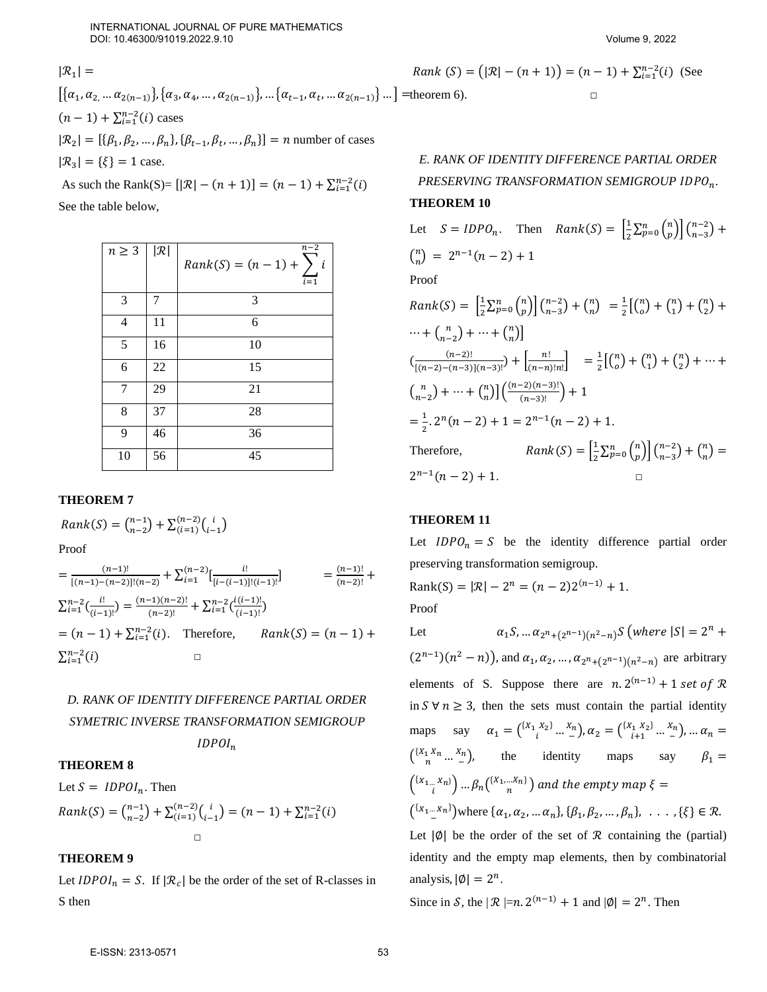$|\mathcal{R}_1|$  =  $\left[\{\alpha_1, \alpha_2, \ldots \alpha_{2(n-1)}\}, \{\alpha_3, \alpha_4, \ldots, \alpha_{2(n-1)}\}, \ldots \{\alpha_{t-1}, \alpha_t, \ldots \alpha_{2(n-1)}\}\ldots\right]$  = theorem 6).  $(n-1) + \sum_{i=1}^{n-2} (i)$  cases  $|\mathcal{R}_2| = [\{\beta_1, \beta_2, ..., \beta_n\}, \{\beta_{t-1}, \beta_t, ..., \beta_n\}] = n$  number of cases  $|\mathcal{R}_3| = {\xi} = 1$  case.

As such the Rank(S)=  $[|R| - (n + 1)] = (n - 1) + \sum_{i=1}^{n-2} (i)$ See the table below,

| $n \geq 3$     | $ \mathcal{R} $ | $n-2$<br>$Rank(S) = (n-1) + \sum_{n=1}^{n}$<br>$\iota$<br>$\overline{i=1}$ |
|----------------|-----------------|----------------------------------------------------------------------------|
| 3              | 7               | 3                                                                          |
| $\overline{4}$ | 11              | 6                                                                          |
| 5              | 16              | 10                                                                         |
| 6              | 22              | 15                                                                         |
| 7              | 29              | 21                                                                         |
| 8              | 37              | 28                                                                         |
| 9              | 46              | 36                                                                         |
| 10             | 56              | 45                                                                         |

### **THEOREM 7**

$$
Rank(S) = \binom{n-1}{n-2} + \sum_{(i=1)}^{(n-2)} \binom{i}{i-1}
$$

Proof

$$
= \frac{(n-1)!}{[(n-1)-(n-2)]!(n-2)} + \sum_{i=1}^{(n-2)} \left[\frac{i!}{[i-(i-1)]!(i-1)!}\right] = \frac{(n-1)!}{(n-2)!} + \sum_{i=1}^{n-2} \left(\frac{i!}{(i-1)!}\right) = \frac{(n-1)(n-2)!}{(n-2)!} + \sum_{i=1}^{n-2} \left(\frac{i(i-1)!}{(i-1)!}\right)
$$
  
=  $(n-1) + \sum_{i=1}^{n-2} (i)$ . Therefore, *Rank(S) = (n-1) +*  

$$
\sum_{i=1}^{n-2} (i)
$$

# *D. RANK OF IDENTITY DIFFERENCE PARTIAL ORDER SYMETRIC INVERSE TRANSFORMATION SEMIGROUP*

 $IDPOI_n$ 

### **THEOREM 8**

Let  $S = IDPOI_n$ . Then

$$
Rank(S) = {n-1 \choose n-2} + \sum_{i=1}^{(n-2)} {i \choose i-1} = (n-1) + \sum_{i=1}^{n-2} (i)
$$

# **THEOREM 9**

Let  $IDPOI_n = S$ . If  $|\mathcal{R}_c|$  be the order of the set of R-classes in S then

Rank  $(S) = (|\mathcal{R}| - (n+1)) = (n-1) + \sum_{i=1}^{n-2} (i)$  (See

# *E. RANK OF IDENTITY DIFFERENCE PARTIAL ORDER PRESERVING TRANSFORMATION SEMIGROUP .*

## **THEOREM 10**

Let 
$$
S = IDPO_n
$$
. Then  $Rank(S) = \left[\frac{1}{2}\sum_{p=0}^{n} {n \choose p}\right] {n-2 \choose n-3} + {n \choose n} = 2^{n-1}(n-2) + 1$   
\nProof  
\n $Rank(S) = \left[\frac{1}{2}\sum_{p=0}^{n} {n \choose p}\right] {n-2 \choose n-3} + {n \choose n} = \frac{1}{2} \left[{n \choose o} + {n \choose 1} + {n \choose 2} + {n \choose n-2} + \cdots + {n \choose n-2} + \cdots + {n \choose n}\right]$   
\n $\left(\frac{(n-2)!}{[(n-2)-(n-3)]((n-3)!)}\right) + \left[\frac{n!}{(n-1)!n!}\right] = \frac{1}{2} \left[{n \choose o} + {n \choose 1} + {n \choose 2} + \cdots + {n \choose n-2} + \cdots + {n \choose n}\right] \left(\frac{(n-2)(n-3)!}{(n-3)!}\right) + 1$   
\n $= \frac{1}{2} \cdot 2^n (n-2) + 1 = 2^{n-1} (n-2) + 1.$   
\nTherefore,  $Rank(S) = \left[\frac{1}{2}\sum_{p=0}^{n} {n \choose p}\right] {n-2 \choose n-3} + {n \choose n} = 2^{n-1} (n-2) + 1.$ 

# **THEOREM 11**

Let  $IDPO_n = S$  be the identity difference partial order preserving transformation semigroup.

Rank(S) = 
$$
|\mathcal{R}| - 2^n = (n-2)2^{(n-1)} + 1
$$
.  
Proof

Let  $\alpha_1 S, ... \alpha_{2^n + (2^{n-1})(n^2 - n)} S$  (where  $|S| = 2^n +$  $(2^{n-1})(n^2 - n)$ , and  $\alpha_1, \alpha_2, ..., \alpha_{2^{n}+(2^{n-1})(n^2-n)}$  are arbitrary elements of S. Suppose there are  $n \cdot 2^{(n-1)} + 1$  set of R in  $S \forall n \geq 3$ , then the sets must contain the partial identity maps say  $\alpha_1 = {^{[X_1, X_2]}$  $\binom{X_2}{i}$  ...  $\binom{X_n}{i}$ ,  $\alpha_2 = \binom{\{X_1, X_2\}}{i+1}$  ...  $\binom{X_n}{i}$ , ...  $\alpha_n =$  $\binom{\{X_1 X_n \dots X_n\}}{n}$ , the identity maps say  $\beta_1 =$  $\binom{\{x_{1...}x_n\}}{i}...\beta_n\binom{\{X_1,...X_n\}}{n}$  and the empty map  $\xi=1$  $\binom{\{x_1...x_n\}}{n}$  $(-\Delta^{m} S)$  where { $\alpha_1, \alpha_2, ... \alpha_n$ }, { $\beta_1, \beta_2, ..., \beta_n$ }, ..., {ξ} ∈ R. Let  $|\emptyset|$  be the order of the set of  $\mathcal R$  containing the (partial) identity and the empty map elements, then by combinatorial analysis,  $|\emptyset| = 2^n$ .

Since in S, the  $|\mathcal{R}| = n \cdot 2^{(n-1)} + 1$  and  $|\emptyset| = 2^n$ . Then